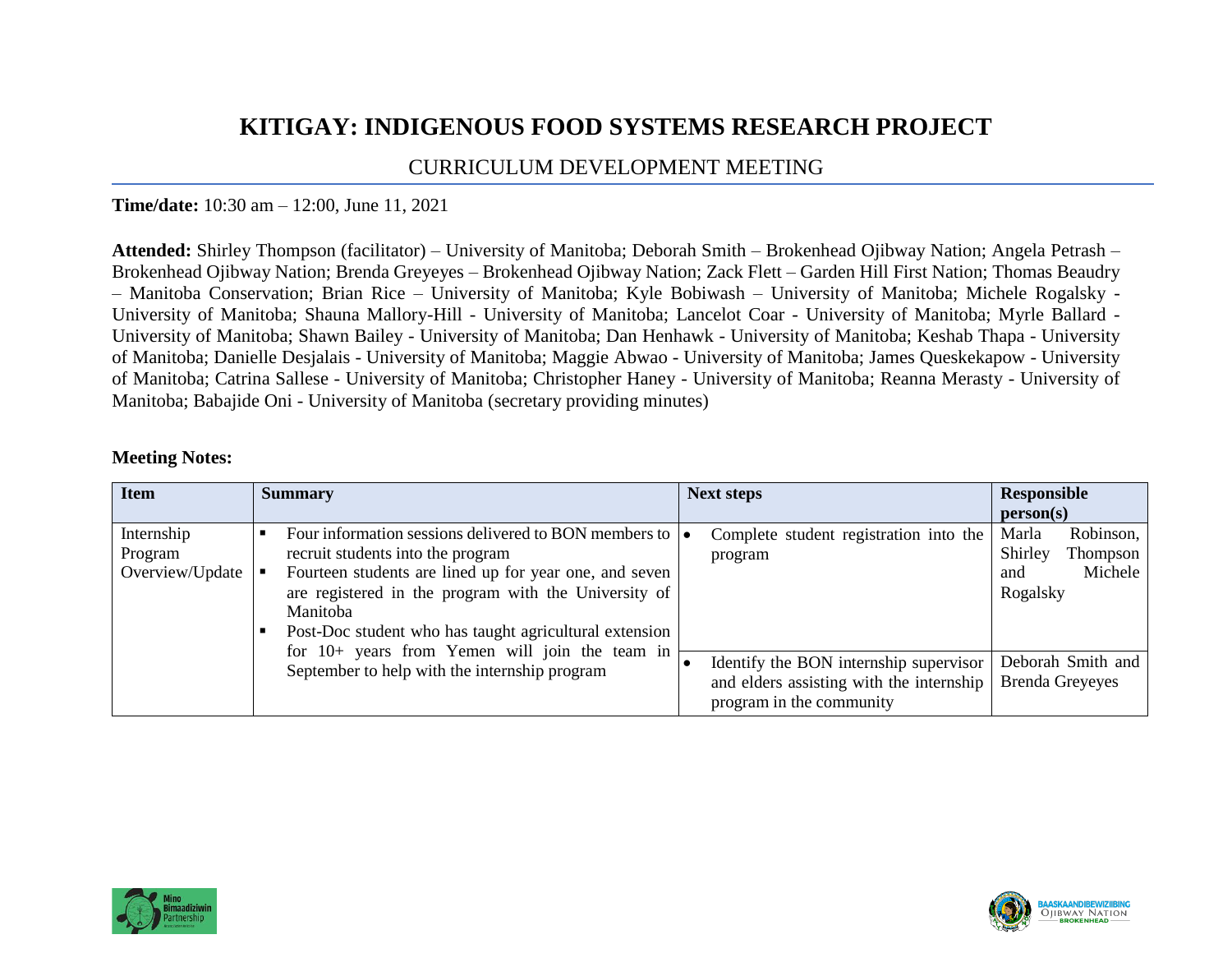## **KITIGAY: INDIGENOUS FOOD SYSTEMS RESEARCH PROJECT**

## CURRICULUM DEVELOPMENT MEETING

## **Time/date:** 10:30 am – 12:00, June 11, 2021

**Attended:** Shirley Thompson (facilitator) – University of Manitoba; Deborah Smith – Brokenhead Ojibway Nation; Angela Petrash – Brokenhead Ojibway Nation; Brenda Greyeyes – Brokenhead Ojibway Nation; Zack Flett – Garden Hill First Nation; Thomas Beaudry – Manitoba Conservation; Brian Rice – University of Manitoba; Kyle Bobiwash – University of Manitoba; Michele Rogalsky - University of Manitoba; Shauna Mallory-Hill - University of Manitoba; Lancelot Coar - University of Manitoba; Myrle Ballard - University of Manitoba; Shawn Bailey - University of Manitoba; Dan Henhawk - University of Manitoba; Keshab Thapa - University of Manitoba; Danielle Desjalais - University of Manitoba; Maggie Abwao - University of Manitoba; James Queskekapow - University of Manitoba; Catrina Sallese - University of Manitoba; Christopher Haney - University of Manitoba; Reanna Merasty - University of Manitoba; Babajide Oni - University of Manitoba (secretary providing minutes)

## **Meeting Notes:**

| <b>Item</b>                              | <b>Summary</b>                                                                                                                                                                                                                                                                                                                                                                                              | <b>Next steps</b>                                                                                                                                                   | <b>Responsible</b>                                                                                                     |
|------------------------------------------|-------------------------------------------------------------------------------------------------------------------------------------------------------------------------------------------------------------------------------------------------------------------------------------------------------------------------------------------------------------------------------------------------------------|---------------------------------------------------------------------------------------------------------------------------------------------------------------------|------------------------------------------------------------------------------------------------------------------------|
|                                          |                                                                                                                                                                                                                                                                                                                                                                                                             |                                                                                                                                                                     | person(s)                                                                                                              |
| Internship<br>Program<br>Overview/Update | Four information sessions delivered to BON members to $\vert \bullet \vert$<br>recruit students into the program<br>Fourteen students are lined up for year one, and seven<br>are registered in the program with the University of<br>Manitoba<br>Post-Doc student who has taught agricultural extension<br>for 10+ years from Yemen will join the team in<br>September to help with the internship program | Complete student registration into the<br>program<br>Identify the BON internship supervisor<br>and elders assisting with the internship<br>program in the community | Marla<br>Robinson,<br>Shirley<br>Thompson<br>Michele<br>and<br>Rogalsky<br>Deborah Smith and<br><b>Brenda Greyeyes</b> |



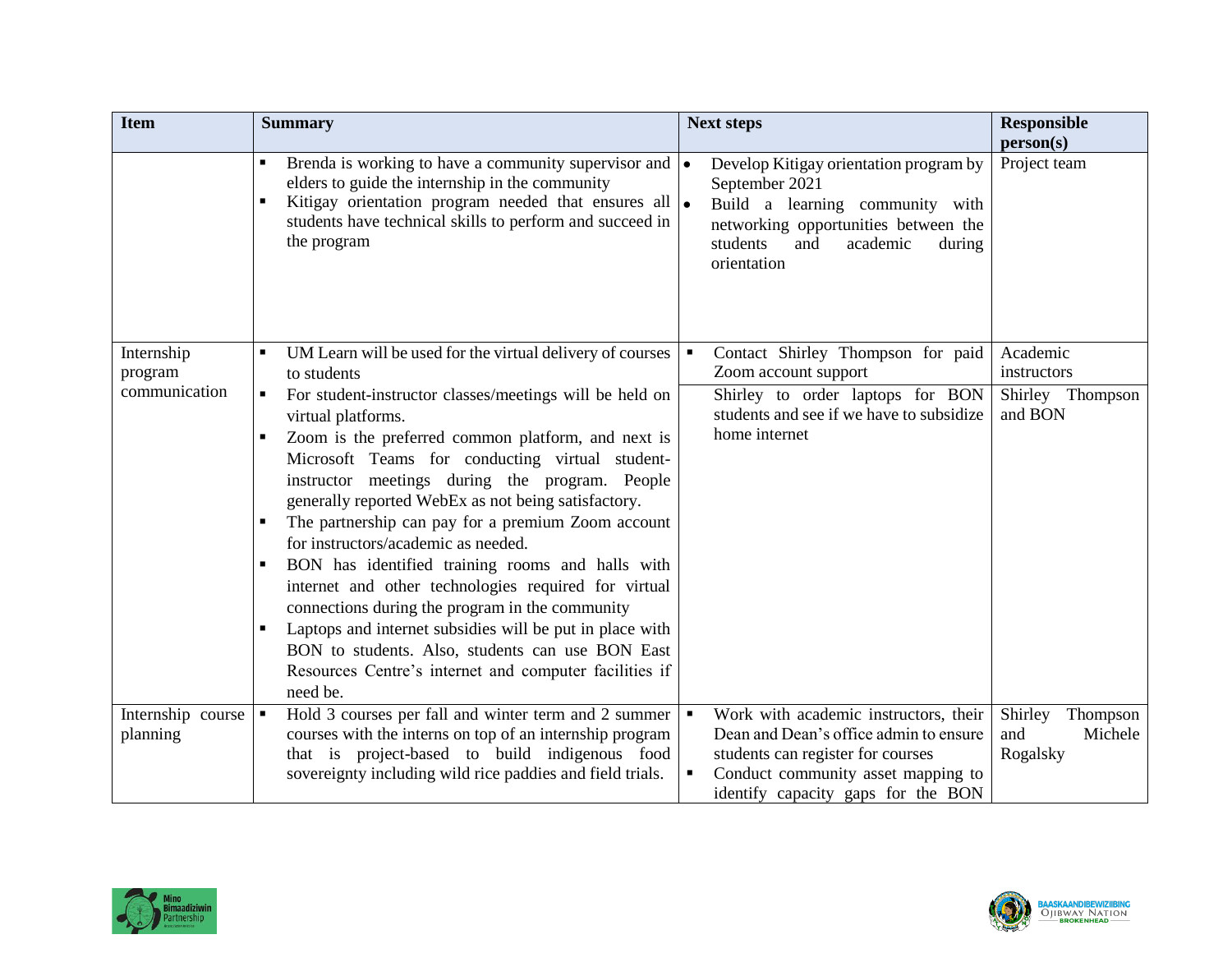| <b>Item</b>                   | <b>Summary</b>                                                                                                                                                                                                                                                                                                                                                                                                                                                                                                                                                                                                                                                                                                                                                                             | <b>Next steps</b>                                                                                                                                                                                | <b>Responsible</b><br>person(s)                   |
|-------------------------------|--------------------------------------------------------------------------------------------------------------------------------------------------------------------------------------------------------------------------------------------------------------------------------------------------------------------------------------------------------------------------------------------------------------------------------------------------------------------------------------------------------------------------------------------------------------------------------------------------------------------------------------------------------------------------------------------------------------------------------------------------------------------------------------------|--------------------------------------------------------------------------------------------------------------------------------------------------------------------------------------------------|---------------------------------------------------|
|                               | Brenda is working to have a community supervisor and $\cdot$<br>$\blacksquare$<br>elders to guide the internship in the community<br>Kitigay orientation program needed that ensures all $\bullet$<br>students have technical skills to perform and succeed in<br>the program                                                                                                                                                                                                                                                                                                                                                                                                                                                                                                              | Develop Kitigay orientation program by<br>September 2021<br>Build a learning community with<br>networking opportunities between the<br>students<br>academic<br>and<br>during<br>orientation      | Project team                                      |
| Internship<br>program         | UM Learn will be used for the virtual delivery of courses<br>to students                                                                                                                                                                                                                                                                                                                                                                                                                                                                                                                                                                                                                                                                                                                   | Contact Shirley Thompson for paid<br>Zoom account support                                                                                                                                        | Academic<br>instructors                           |
| communication                 | For student-instructor classes/meetings will be held on<br>$\blacksquare$<br>virtual platforms.<br>Zoom is the preferred common platform, and next is<br>٠<br>Microsoft Teams for conducting virtual student-<br>instructor meetings during the program. People<br>generally reported WebEx as not being satisfactory.<br>The partnership can pay for a premium Zoom account<br>for instructors/academic as needed.<br>BON has identified training rooms and halls with<br>internet and other technologies required for virtual<br>connections during the program in the community<br>Laptops and internet subsidies will be put in place with<br>$\blacksquare$<br>BON to students. Also, students can use BON East<br>Resources Centre's internet and computer facilities if<br>need be. | Shirley to order laptops for BON<br>students and see if we have to subsidize<br>home internet                                                                                                    | Shirley Thompson<br>and BON                       |
| Internship course<br>planning | Hold 3 courses per fall and winter term and 2 summer<br>$\blacksquare$<br>courses with the interns on top of an internship program<br>that is project-based to build indigenous food<br>sovereignty including wild rice paddies and field trials.                                                                                                                                                                                                                                                                                                                                                                                                                                                                                                                                          | Work with academic instructors, their<br>Dean and Dean's office admin to ensure<br>students can register for courses<br>Conduct community asset mapping to<br>identify capacity gaps for the BON | Shirley<br>Thompson<br>and<br>Michele<br>Rogalsky |